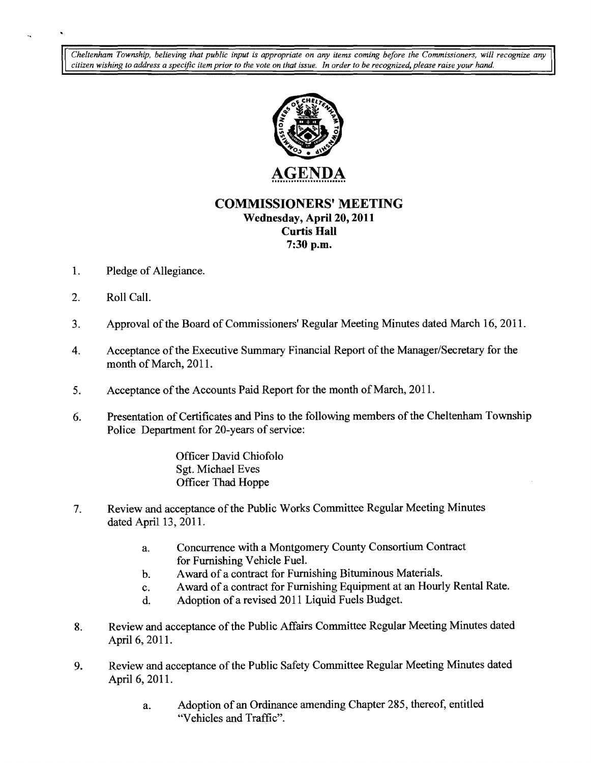Cheltenham Township, believing that public input is appropriate on any items coming before the Commissioners, will recognize any citizen wishing to address a specific item prior to the vote on that issue. In order to be re citizen wishing to address a specific item prior to the vote on that issue. In order to be recognized, please raise your hand.



**COMMISSIONERS' MEETING** 

**Wednesday,** April 20, **2011 Curtis Hall** 

**7:30 p.m.** 

- 1. Pledge of Allegiance.
- 2. Roll Call.

 $\ddot{\phantom{a}}$ 

- 3. Approval of the Board of Commissioners' Regular Meeting Minutes dated March 16, 2011.
- 4. Acceptance of the Executive Summary Financial Report of the Manager/Secretary for the month of March, 2011.
- 5. Acceptance of the Accounts Paid Report for the month of March, 2011.
- 6. Presentation of Certificates and Pins to the following members of the Cheltenham Township Police Department for 20-years of service:

Officer David Chiofolo Sgt. Michael Eves Officer Thad Hoppe

- 7. Review and acceptance of the Public Works Committee Regular Meeting Minutes dated April 13, 2011.
	- a. Concurrence with a Montgomery County Consortium Contract for Furnishing Vehicle Fuel.
	- b. Award of a contract for Furnishing Bituminous Materials.
	- c. Award of a contract for Furnishing Equipment at an Hourly Rental Rate.
	- d. Adoption of a revised 2011 Liquid Fuels Budget.
- 8. Review and acceptance of the Public Affairs Committee Regular Meeting Minutes dated April 6, 2011.
- 9. Review and acceptance of the Public Safety Committee Regular Meeting Minutes dated April 6, 2011.
	- a. Adoption of an Ordinance amending Chapter 285, thereof, entitled "Vehicles and Traffic",